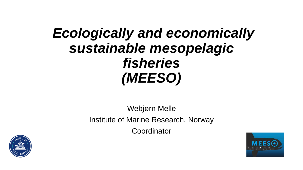## *Ecologically and economically sustainable mesopelagic fisheries (MEESO)*

Webjørn Melle Institute of Marine Research, Norway **Coordinator** 



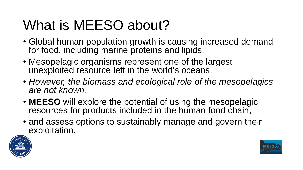# What is MEESO about?

- Global human population growth is causing increased demand for food, including marine proteins and lipids.
- Mesopelagic organisms represent one of the largest unexploited resource left in the world's oceans.
- *However, the biomass and ecological role of the mesopelagics are not known.*
- **MEESO** will explore the potential of using the mesopelagic resources for products included in the human food chain,
- and assess options to sustainably manage and govern their exploitation.



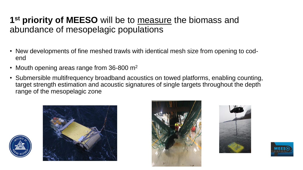#### **1 st priority of MEESO** will be to measure the biomass and abundance of mesopelagic populations

- New developments of fine meshed trawls with identical mesh size from opening to codend
- Mouth opening areas range from  $36-800$  m<sup>2</sup>
- Submersible multifrequency broadband acoustics on towed platforms, enabling counting, target strength estimation and acoustic signatures of single targets throughout the depth range of the mesopelagic zone









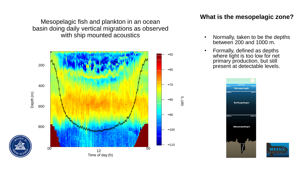Mesopelagic fish and plankton in an ocean basin doing daily vertical migrations as observed with ship mounted acoustics



#### **What is the mesopelagic zone?**

- Normally, taken to be the depths between 200 and 1000 m.
- Formally, defined as depths where light is too low for net primary production, but still present at detectable levels.



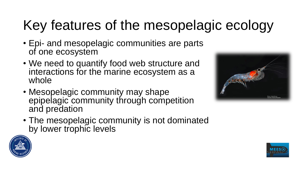# Key features of the mesopelagic ecology

- Epi- and mesopelagic communities are parts of one ecosystem
- We need to quantify food web structure and interactions for the marine ecosystem as a whole
- Mesopelagic community may shape epipelagic community through competition and predation
- The mesopelagic community is not dominated by lower trophic levels





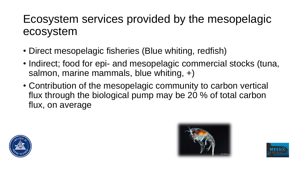### Ecosystem services provided by the mesopelagic ecosystem

- Direct mesopelagic fisheries (Blue whiting, redfish)
- Indirect; food for epi- and mesopelagic commercial stocks (tuna, salmon, marine mammals, blue whiting, +)
- Contribution of the mesopelagic community to carbon vertical flux through the biological pump may be 20 % of total carbon flux, on average





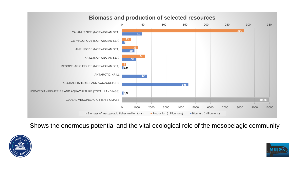

Shows the enormous potential and the vital ecological role of the mesopelagic community



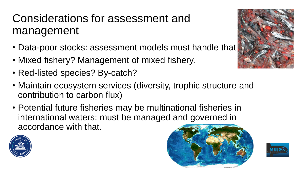## Considerations for assessment and management

- Data-poor stocks: assessment models must handle that
- Mixed fishery? Management of mixed fishery.
- Red-listed species? By-catch?
- Maintain ecosystem services (diversity, trophic structure and contribution to carbon flux)
- Potential future fisheries may be multinational fisheries in international waters: must be managed and governed in accordance with that.